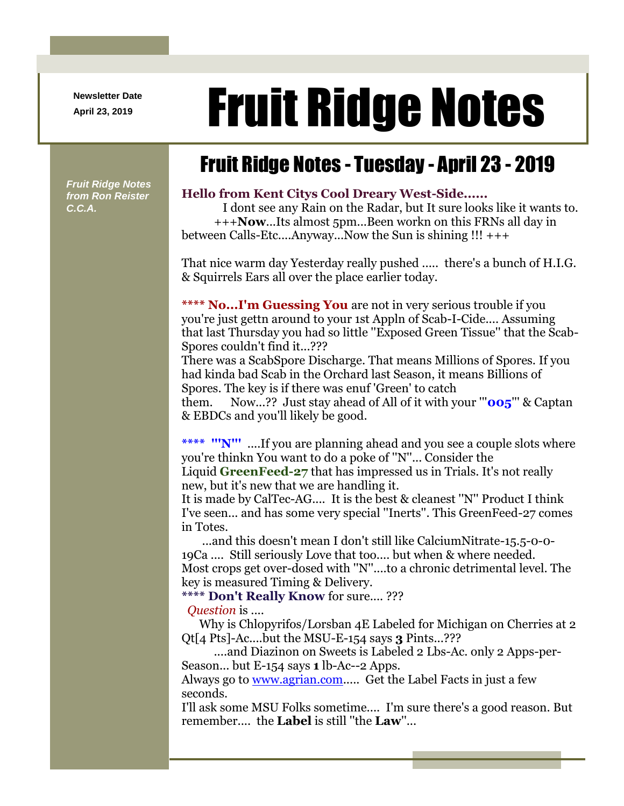**Newsletter Date**

# April 23, 2019 **Fruit Ridge Notes**

## Fruit Ridge Notes - Tuesday - April 23 - 2019

*Fruit Ridge Notes from Ron Reister C.C.A.*

#### **Hello from Kent Citys Cool Dreary West-Side......**

I dont see any Rain on the Radar, but It sure looks like it wants to. +++**Now**...Its almost 5pm...Been workn on this FRNs all day in between Calls-Etc....Anyway...Now the Sun is shining !!! +++

That nice warm day Yesterday really pushed ..... there's a bunch of H.I.G. & Squirrels Ears all over the place earlier today.

**\*\*\*\* No...I'm Guessing You** are not in very serious trouble if you you're just gettn around to your 1st Appln of Scab-I-Cide.... Assuming that last Thursday you had so little ''Exposed Green Tissue'' that the Scab-Spores couldn't find it...???

There was a ScabSpore Discharge. That means Millions of Spores. If you had kinda bad Scab in the Orchard last Season, it means Billions of Spores. The key is if there was enuf 'Green' to catch

them. Now...?? Just stay ahead of All of it with your '''**005**''' & Captan & EBDCs and you'll likely be good.

**\*\*\*\* '''N'''** ....If you are planning ahead and you see a couple slots where you're thinkn You want to do a poke of ''N''... Consider the Liquid **GreenFeed-27** that has impressed us in Trials. It's not really new, but it's new that we are handling it.

It is made by CalTec-AG.... It is the best & cleanest ''N'' Product I think I've seen... and has some very special ''Inerts''. This GreenFeed-27 comes in Totes.

...and this doesn't mean I don't still like CalciumNitrate-15.5-0-0- 19Ca .... Still seriously Love that too.... but when & where needed. Most crops get over-dosed with ''N''....to a chronic detrimental level. The key is measured Timing & Delivery.

**\*\*\*\* Don't Really Know** for sure.... ???

*Question* is ....

Why is Chlopyrifos/Lorsban 4E Labeled for Michigan on Cherries at 2 Qt[4 Pts]-Ac....but the MSU-E-154 says **3** Pints...???

....and Diazinon on Sweets is Labeled 2 Lbs-Ac. only 2 Apps-per-Season... but E-154 says **1** lb-Ac--2 Apps.

Always go to <u>www.agrian.com</u>..... Get the Label Facts in just a few seconds.

I'll ask some MSU Folks sometime.... I'm sure there's a good reason. But remember.... the **Label** is still ''the **Law**''...